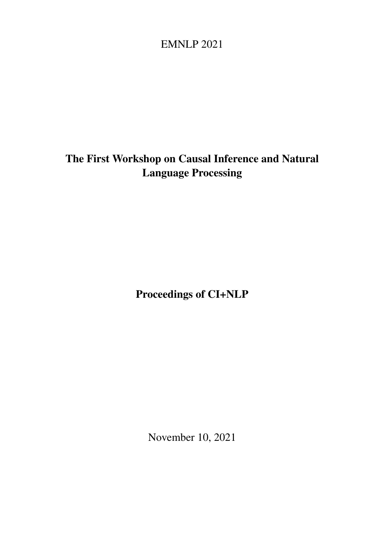# <span id="page-0-0"></span>EMNLP 2021

# The First Workshop on Causal Inference and Natural Language Processing

Proceedings of CI+NLP

November 10, 2021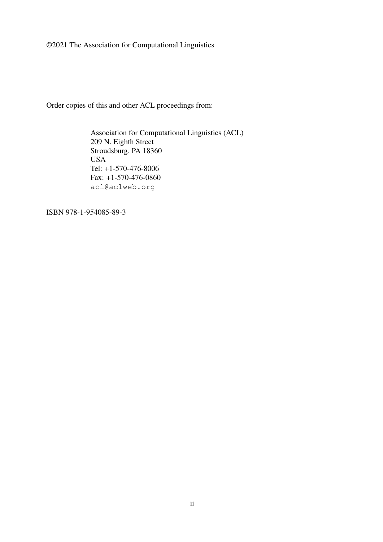©2021 The Association for Computational Linguistics

Order copies of this and other ACL proceedings from:

Association for Computational Linguistics (ACL) 209 N. Eighth Street Stroudsburg, PA 18360 USA Tel: +1-570-476-8006 Fax: +1-570-476-0860 acl@aclweb.org

ISBN 978-1-954085-89-3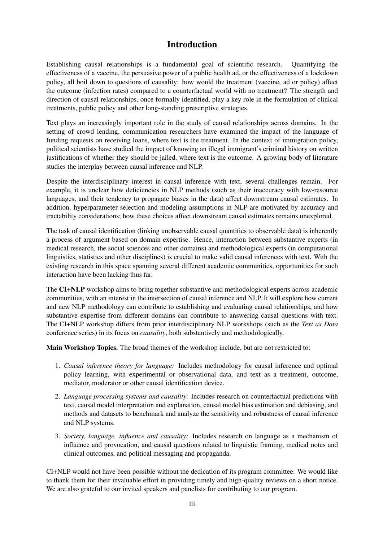#### Introduction

Establishing causal relationships is a fundamental goal of scientific research. Quantifying the effectiveness of a vaccine, the persuasive power of a public health ad, or the effectiveness of a lockdown policy, all boil down to questions of causality: how would the treatment (vaccine, ad or policy) affect the outcome (infection rates) compared to a counterfactual world with no treatment? The strength and direction of causal relationships, once formally identified, play a key role in the formulation of clinical treatments, public policy and other long-standing prescriptive strategies.

Text plays an increasingly important role in the study of causal relationships across domains. In the setting of crowd lending, communication researchers have examined the impact of the language of funding requests on receiving loans, where text is the treatment. In the context of immigration policy, political scientists have studied the impact of knowing an illegal immigrant's criminal history on written justifications of whether they should be jailed, where text is the outcome. A growing body of literature studies the interplay between causal inference and NLP.

Despite the interdisciplinary interest in causal inference with text, several challenges remain. For example, it is unclear how deficiencies in NLP methods (such as their inaccuracy with low-resource languages, and their tendency to propagate biases in the data) affect downstream causal estimates. In addition, hyperparameter selection and modeling assumptions in NLP are motivated by accuracy and tractability considerations; how these choices affect downstream causal estimates remains unexplored.

The task of causal identification (linking unobservable causal quantities to observable data) is inherently a process of argument based on domain expertise. Hence, interaction between substantive experts (in medical research, the social sciences and other domains) and methodological experts (in computational linguistics, statistics and other disciplines) is crucial to make valid causal inferences with text. With the existing research in this space spanning several different academic communities, opportunities for such interaction have been lacking thus far.

The CI+NLP workshop aims to bring together substantive and methodological experts across academic communities, with an interest in the intersection of causal inference and NLP. It will explore how current and new NLP methodology can contribute to establishing and evaluating causal relationships, and how substantive expertise from different domains can contribute to answering causal questions with text. The CI+NLP workshop differs from prior interdisciplinary NLP workshops (such as the *Text as Data* conference series) in its focus on *causality*, both substantively and methodologically.

Main Workshop Topics. The broad themes of the workshop include, but are not restricted to:

- 1. *Causal inference theory for language:* Includes methodology for causal inference and optimal policy learning, with experimental or observational data, and text as a treatment, outcome, mediator, moderator or other causal identification device.
- 2. *Language processing systems and causality:* Includes research on counterfactual predictions with text, causal model interpretation and explanation, causal model bias estimation and debiasing, and methods and datasets to benchmark and analyze the sensitivity and robustness of causal inference and NLP systems.
- 3. *Society, language, influence and causality:* Includes research on language as a mechanism of influence and provocation, and causal questions related to linguistic framing, medical notes and clinical outcomes, and political messaging and propaganda.

CI+NLP would not have been possible without the dedication of its program committee. We would like to thank them for their invaluable effort in providing timely and high-quality reviews on a short notice. We are also grateful to our invited speakers and panelists for contributing to our program.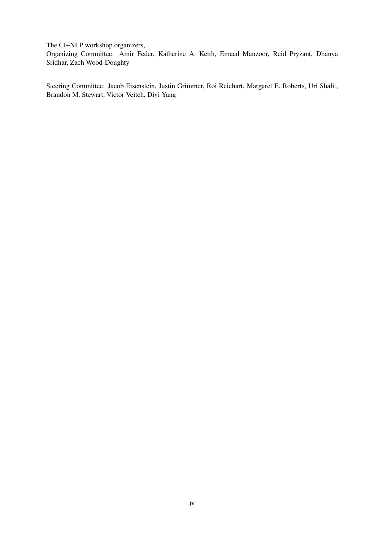The CI+NLP workshop organizers,

Organizing Committee: Amir Feder, Katherine A. Keith, Emaad Manzoor, Reid Pryzant, Dhanya Sridhar, Zach Wood-Doughty

Steering Committee: Jacob Eisenstein, Justin Grimmer, Roi Reichart, Margaret E. Roberts, Uri Shalit, Brandon M. Stewart, Victor Veitch, Diyi Yang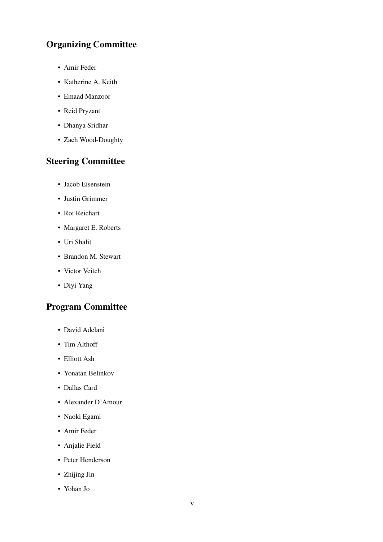# Organizing Committee

- Amir Feder
- Katherine A. Keith
- Emaad Manzoor
- Reid Pryzant
- Dhanya Sridhar
- Zach Wood-Doughty

## Steering Committee

- Jacob Eisenstein
- Justin Grimmer
- Roi Reichart
- Margaret E. Roberts
- Uri Shalit
- Brandon M. Stewart
- Victor Veitch
- Diyi Yang

### Program Committee

- David Adelani
- Tim Althoff
- Elliott Ash
- Yonatan Belinkov
- Dallas Card
- Alexander D'Amour
- Naoki Egami
- Amir Feder
- Anjalie Field
- Peter Henderson
- Zhijing Jin
- Yohan Jo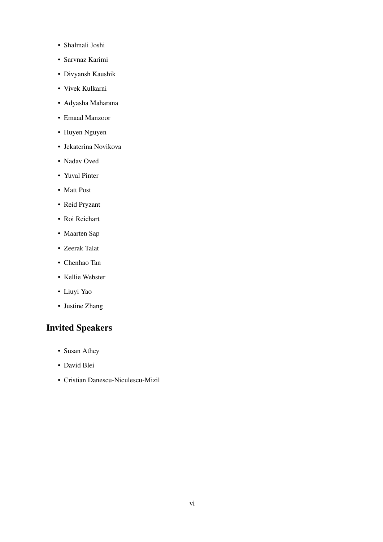- Shalmali Joshi
- Sarvnaz Karimi
- Divyansh Kaushik
- Vivek Kulkarni
- Adyasha Maharana
- Emaad Manzoor
- Huyen Nguyen
- Jekaterina Novikova
- Nadav Oved
- Yuval Pinter
- Matt Post
- Reid Pryzant
- Roi Reichart
- Maarten Sap
- Zeerak Talat
- Chenhao Tan
- Kellie Webster
- Liuyi Yao
- Justine Zhang

## Invited Speakers

- Susan Athey
- David Blei
- Cristian Danescu-Niculescu-Mizil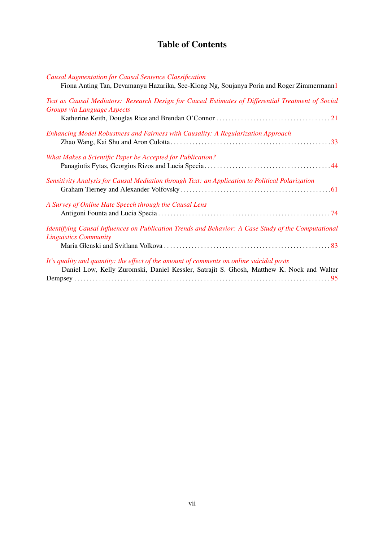# Table of Contents

#### *[Causal Augmentation for Causal Sentence Classification](#page-0-0)*

| Fiona Anting Tan, Devamanyu Hazarika, See-Kiong Ng, Soujanya Poria and Roger Zimmermann1                                            |
|-------------------------------------------------------------------------------------------------------------------------------------|
| Text as Causal Mediators: Research Design for Causal Estimates of Differential Treatment of Social<br>Groups via Language Aspects   |
|                                                                                                                                     |
| Enhancing Model Robustness and Fairness with Causality: A Regularization Approach                                                   |
| What Makes a Scientific Paper be Accepted for Publication?                                                                          |
|                                                                                                                                     |
| Sensitivity Analysis for Causal Mediation through Text: an Application to Political Polarization                                    |
| A Survey of Online Hate Speech through the Causal Lens                                                                              |
|                                                                                                                                     |
| Identifying Causal Influences on Publication Trends and Behavior: A Case Study of the Computational<br><b>Linguistics Community</b> |
|                                                                                                                                     |
| It's quality and quantity: the effect of the amount of comments on online suicidal posts                                            |
| Daniel Low, Kelly Zuromski, Daniel Kessler, Satrajit S. Ghosh, Matthew K. Nock and Walter                                           |
|                                                                                                                                     |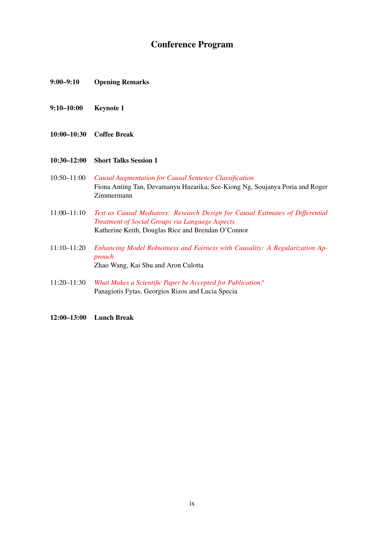### Conference Program

- 9:00–9:10 Opening Remarks
- 9:10–10:00 Keynote 1
- 10:00–10:30 Coffee Break
- 10:30–12:00 Short Talks Session 1
- 10:50–11:00 *[Causal Augmentation for Causal Sentence Classification](#page-0-0)* Fiona Anting Tan, Devamanyu Hazarika, See-Kiong Ng, Soujanya Poria and Roger Zimmermann
- 11:00–11:10 *[Text as Causal Mediators: Research Design for Causal Estimates of Differential](#page-0-0) [Treatment of Social Groups via Language Aspects](#page-0-0)* Katherine Keith, Douglas Rice and Brendan O'Connor
- 11:10–11:20 *[Enhancing Model Robustness and Fairness with Causality: A Regularization Ap](#page-0-0)[proach](#page-0-0)* Zhao Wang, Kai Shu and Aron Culotta
- 11:20–11:30 *[What Makes a Scientific Paper be Accepted for Publication?](#page-0-0)* Panagiotis Fytas, Georgios Rizos and Lucia Specia

12:00–13:00 Lunch Break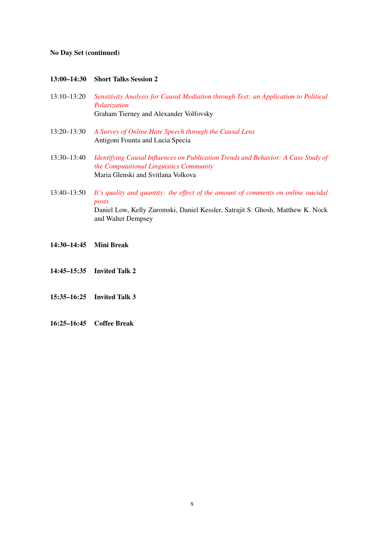#### No Day Set (continued)

#### 13:00–14:30 Short Talks Session 2

- 13:10–13:20 *[Sensitivity Analysis for Causal Mediation through Text: an Application to Political](#page-0-0) [Polarization](#page-0-0)* Graham Tierney and Alexander Volfovsky
- 13:20–13:30 *[A Survey of Online Hate Speech through the Causal Lens](#page-0-0)* Antigoni Founta and Lucia Specia
- 13:30–13:40 *[Identifying Causal Influences on Publication Trends and Behavior: A Case Study of](#page-0-0) [the Computational Linguistics Community](#page-0-0)* Maria Glenski and Svitlana Volkova
- 13:40–13:50 *[It's quality and quantity: the effect of the amount of comments on online suicidal](#page-0-0) [posts](#page-0-0)* Daniel Low, Kelly Zuromski, Daniel Kessler, Satrajit S. Ghosh, Matthew K. Nock and Walter Dempsey
- 14:30–14:45 Mini Break
- 14:45–15:35 Invited Talk 2
- 15:35–16:25 Invited Talk 3
- 16:25–16:45 Coffee Break